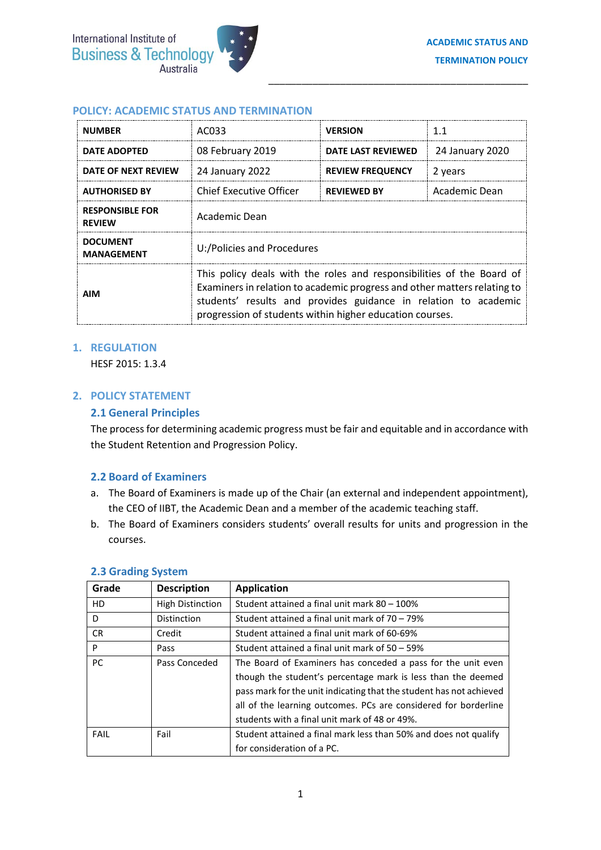\_\_\_\_\_\_\_\_\_\_\_\_\_\_\_\_\_\_\_\_\_\_\_\_\_\_\_\_\_\_\_\_\_\_\_\_\_\_\_\_\_\_\_\_\_\_\_

### **POLICY: ACADEMIC STATUS AND TERMINATION**

| <b>NUMBER</b>                           | AC033                                                                                                                                                                                                                                                                            | <b>VERSION</b>            | 1.1             |
|-----------------------------------------|----------------------------------------------------------------------------------------------------------------------------------------------------------------------------------------------------------------------------------------------------------------------------------|---------------------------|-----------------|
| <b>DATE ADOPTED</b>                     | 08 February 2019                                                                                                                                                                                                                                                                 | <b>DATE LAST REVIEWED</b> | 24 January 2020 |
| DATE OF NEXT REVIEW                     | 24 January 2022                                                                                                                                                                                                                                                                  | <b>REVIEW FREQUENCY</b>   | 2 years         |
| <b>AUTHORISED BY</b>                    | Chief Executive Officer                                                                                                                                                                                                                                                          | <b>REVIEWED BY</b>        | Academic Dean   |
| <b>RESPONSIBLE FOR</b><br><b>REVIEW</b> | Academic Dean                                                                                                                                                                                                                                                                    |                           |                 |
| <b>DOCUMENT</b><br><b>MANAGEMENT</b>    | U:/Policies and Procedures                                                                                                                                                                                                                                                       |                           |                 |
| <b>AIM</b>                              | This policy deals with the roles and responsibilities of the Board of<br>Examiners in relation to academic progress and other matters relating to<br>students' results and provides guidance in relation to academic<br>progression of students within higher education courses. |                           |                 |

### **1. REGULATION**

HESF 2015: 1.3.4

## **2. POLICY STATEMENT**

### **2.1 General Principles**

The process for determining academic progress must be fair and equitable and in accordance with the Student Retention and Progression Policy.

#### **2.2 Board of Examiners**

- a. The Board of Examiners is made up of the Chair (an external and independent appointment), the CEO of IIBT, the Academic Dean and a member of the academic teaching staff.
- b. The Board of Examiners considers students' overall results for units and progression in the courses.

| Grade          | <b>Description</b>      | <b>Application</b>                                                  |
|----------------|-------------------------|---------------------------------------------------------------------|
| H <sub>D</sub> | <b>High Distinction</b> | Student attained a final unit mark 80 - 100%                        |
| D              | Distinction             | Student attained a final unit mark of $70 - 79\%$                   |
| CR.            | Credit                  | Student attained a final unit mark of 60-69%                        |
| P              | Pass                    | Student attained a final unit mark of 50 - 59%                      |
| PC.            | Pass Conceded           | The Board of Examiners has conceded a pass for the unit even        |
|                |                         | though the student's percentage mark is less than the deemed        |
|                |                         | pass mark for the unit indicating that the student has not achieved |
|                |                         | all of the learning outcomes. PCs are considered for borderline     |
|                |                         | students with a final unit mark of 48 or 49%.                       |
| FAIL           | Fail                    | Student attained a final mark less than 50% and does not qualify    |
|                |                         | for consideration of a PC.                                          |

#### **2.3 Grading System**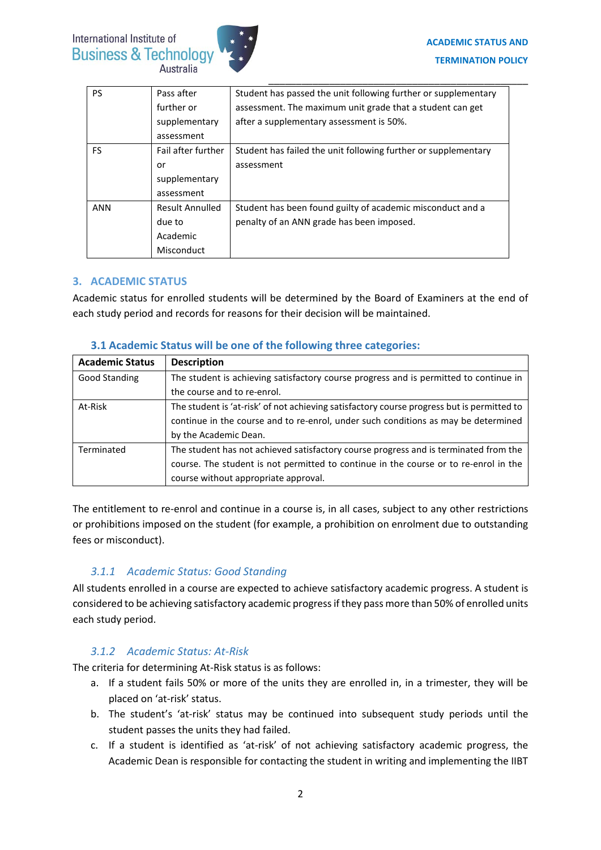

| <b>PS</b> | Pass after             | Student has passed the unit following further or supplementary |
|-----------|------------------------|----------------------------------------------------------------|
|           | further or             | assessment. The maximum unit grade that a student can get      |
|           | supplementary          | after a supplementary assessment is 50%.                       |
|           | assessment             |                                                                |
| FS        | Fail after further     | Student has failed the unit following further or supplementary |
|           | or                     | assessment                                                     |
|           | supplementary          |                                                                |
|           | assessment             |                                                                |
| ANN       | <b>Result Annulled</b> | Student has been found guilty of academic misconduct and a     |
|           | due to                 | penalty of an ANN grade has been imposed.                      |
|           | Academic               |                                                                |
|           | Misconduct             |                                                                |

# **3. ACADEMIC STATUS**

Academic status for enrolled students will be determined by the Board of Examiners at the end of each study period and records for reasons for their decision will be maintained.

| <b>Academic Status</b> | <b>Description</b>                                                                         |  |
|------------------------|--------------------------------------------------------------------------------------------|--|
| Good Standing          | The student is achieving satisfactory course progress and is permitted to continue in      |  |
|                        | the course and to re-enrol.                                                                |  |
| At-Risk                | The student is 'at-risk' of not achieving satisfactory course progress but is permitted to |  |
|                        | continue in the course and to re-enrol, under such conditions as may be determined         |  |
|                        | by the Academic Dean.                                                                      |  |
| Terminated             | The student has not achieved satisfactory course progress and is terminated from the       |  |
|                        | course. The student is not permitted to continue in the course or to re-enrol in the       |  |
|                        | course without appropriate approval.                                                       |  |

## **3.1 Academic Status will be one of the following three categories:**

The entitlement to re-enrol and continue in a course is, in all cases, subject to any other restrictions or prohibitions imposed on the student (for example, a prohibition on enrolment due to outstanding fees or misconduct).

# *3.1.1 Academic Status: Good Standing*

All students enrolled in a course are expected to achieve satisfactory academic progress. A student is considered to be achieving satisfactory academic progress if they pass more than 50% of enrolled units each study period.

# *3.1.2 Academic Status: At-Risk*

The criteria for determining At-Risk status is as follows:

- a. If a student fails 50% or more of the units they are enrolled in, in a trimester, they will be placed on 'at-risk' status.
- b. The student's 'at-risk' status may be continued into subsequent study periods until the student passes the units they had failed.
- c. If a student is identified as 'at-risk' of not achieving satisfactory academic progress, the Academic Dean is responsible for contacting the student in writing and implementing the IIBT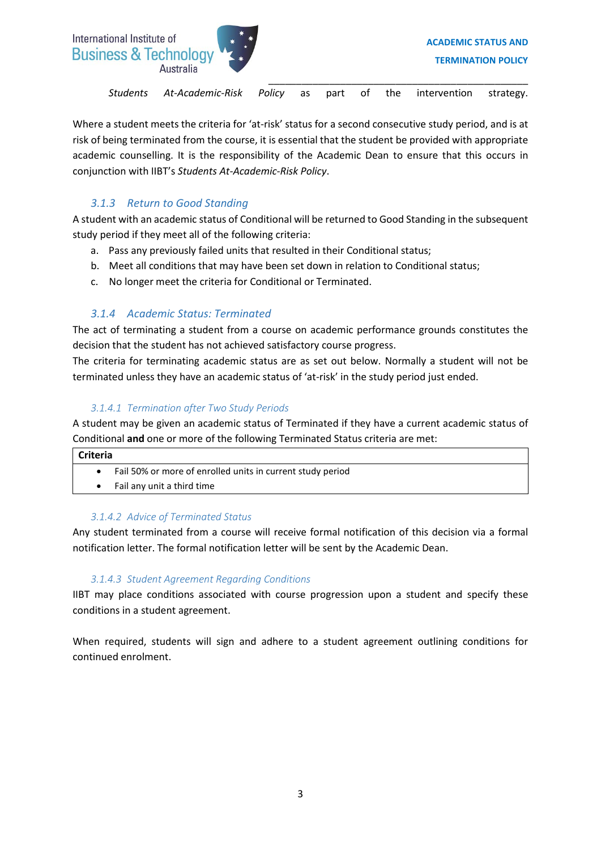

Where a student meets the criteria for 'at-risk' status for a second consecutive study period, and is at risk of being terminated from the course, it is essential that the student be provided with appropriate academic counselling. It is the responsibility of the Academic Dean to ensure that this occurs in conjunction with IIBT's *Students At-Academic-Risk Policy*.

# *3.1.3 Return to Good Standing*

A student with an academic status of Conditional will be returned to Good Standing in the subsequent study period if they meet all of the following criteria:

- a. Pass any previously failed units that resulted in their Conditional status;
- b. Meet all conditions that may have been set down in relation to Conditional status;
- c. No longer meet the criteria for Conditional or Terminated.

# *3.1.4 Academic Status: Terminated*

The act of terminating a student from a course on academic performance grounds constitutes the decision that the student has not achieved satisfactory course progress.

The criteria for terminating academic status are as set out below. Normally a student will not be terminated unless they have an academic status of 'at-risk' in the study period just ended.

# *3.1.4.1 Termination after Two Study Periods*

A student may be given an academic status of Terminated if they have a current academic status of Conditional **and** one or more of the following Terminated Status criteria are met:

| <b>Criteria</b> |                                                            |  |
|-----------------|------------------------------------------------------------|--|
|                 | Fail 50% or more of enrolled units in current study period |  |
|                 | Fail any unit a third time                                 |  |

## *3.1.4.2 Advice of Terminated Status*

Any student terminated from a course will receive formal notification of this decision via a formal notification letter. The formal notification letter will be sent by the Academic Dean.

# *3.1.4.3 Student Agreement Regarding Conditions*

IIBT may place conditions associated with course progression upon a student and specify these conditions in a student agreement.

When required, students will sign and adhere to a student agreement outlining conditions for continued enrolment.